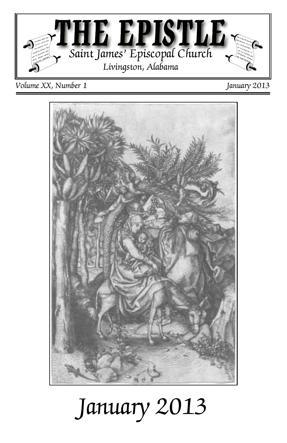

*Volume XX, Number 1 January 2013*



# *January 2013*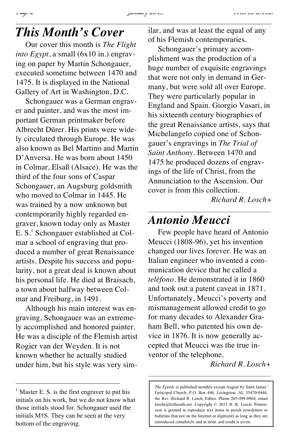#### *This Month's Cover*

Our cover this month is *The Flight into Egypt*, a small (6x10 in.) engraving on paper by Martin Schongauer, executed sometime between 1470 and 1475. It is displayed in the National Gallery of Art in Washington, D.C.

Schongauer was a German engraver and painter, and was the most important German printmaker before Albrecht Dürer. His prints were widely circulated through Europe. He was also known as Bel Martino and Martin D'Anversa. He was born about 1450 in Colmar, Elsaß (Alsace). He was the third of the four sons of Caspar Schongauer, an Augsburg goldsmith who moved to Colmar in 1445. He was trained by a now unknown but contemporarily highly regarded engraver, known today only as Master  $E.S.<sup>1</sup>$  Schongauer established at Colmar a school of engraving that produced a number of great Renaissance artists. Despite his success and popularity, not a great deal is known about his personal life. He died at Braisach, a town about halfway between Colmar and Freiburg, in 1491.

Although his main interest was engraving, Schongauer was an extremely accomplished and honored painter. He was a disciple of the Flemish artist Rogier van der Weyden. It is not known whether he actually studied under him, but his style was very similar, and was at least the equal of any of his Flemish contemporaries.

Schongauer's primary accomplishment was the production of a huge number of exquisite engravings that were not only in demand in Germany, but were sold all over Europe. They were particularly popular in England and Spain. Giorgio Vasari, in his sixteenth century biographies of the great Renaissance artists, says that Michelangelo copied one of Schongauer's engravings in *The Trial of Saint Anthony.* Between 1470 and 1475 he produced dozens of engravings of the life of Christ, from the Annunciation to the Ascension. Our cover is from this collection.

*Richard R. Losch+*

#### *Antonio Meucci*

Few people have heard of Antonio Meucci (1808-96), yet his invention changed our lives forever. He was an Italian engineer who invented a communication device that he called a *telèfono*. He demonstrated it in 1860 and took out a patent caveat in 1871. Unfortunately, Meucci's poverty and mismanagement allowed credit to go for many decades to Alexander Graham Bell, who patented his own device in 1876. It is now generally accepted that Meucci was the true inventor of the telephone.

*Richard R. Losch+*

*The Epistle* is published monthly except August by Saint James' Episcopal Church, P.O. Box 446, Livingston, AL 35470-0446, the Rev. Richard R. Losch, Editor. Phone 205-499-0968, email loschr@bellsouth.net. Copyright © 2013 R. R. Losch. Permission is granted to reproduce text items in parish newsletters or bulletins (but not on the Internet or digitized) as long as they are reproduced completely and in print, and credit is given.

Master E. S. is the first engraver to put his initials on his work, but we do not know what those initials stood for. Schongauer used the initials M†S. They can be seen at the very bottom of the engraving.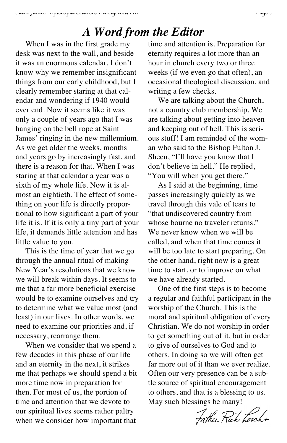#### *A Word from the Editor*

When I was in the first grade my desk was next to the wall, and beside it was an enormous calendar. I don't know why we remember insignificant things from our early childhood, but I clearly remember staring at that calendar and wondering if 1940 would ever end. Now it seems like it was only a couple of years ago that I was hanging on the bell rope at Saint James' ringing in the new millennium. As we get older the weeks, months and years go by increasingly fast, and there is a reason for that. When I was staring at that calendar a year was a sixth of my whole life. Now it is almost an eightieth. The effect of something on your life is directly proportional to how significant a part of your life it is. If it is only a tiny part of your life, it demands little attention and has little value to you.

This is the time of year that we go through the annual ritual of making New Year's resolutions that we know we will break within days. It seems to me that a far more beneficial exercise would be to examine ourselves and try to determine what we value most (and least) in our lives. In other words, we need to examine our priorities and, if necessary, rearrange them.

When we consider that we spend a few decades in this phase of our life and an eternity in the next, it strikes me that perhaps we should spend a bit more time now in preparation for then. For most of us, the portion of time and attention that we devote to our spiritual lives seems rather paltry when we consider how important that

time and attention is. Preparation for eternity requires a lot more than an hour in church every two or three weeks (if we even go that often), an occasional theological discussion, and writing a few checks.

We are talking about the Church, not a country club membership. We are talking about getting into heaven and keeping out of hell. This is serious stuff! I am reminded of the woman who said to the Bishop Fulton J. Sheen, "I'll have you know that I don't believe in hell." He replied, "You will when you get there."

As I said at the beginning, time passes increasingly quickly as we travel through this vale of tears to "that undiscovered country from whose bourne no traveler returns." We never know when we will be called, and when that time comes it will be too late to start preparing. On the other hand, right now is a great time to start, or to improve on what we have already started.

One of the first steps is to become a regular and faithful participant in the worship of the Church. This is the moral and spiritual obligation of every Christian. We do not worship in order to get something out of it, but in order to give of ourselves to God and to others. In doing so we will often get far more out of it than we ever realize. Often our very presence can be a subtle source of spiritual encouragement to others, and that is a blessing to us. May such blessings be many!

Father Rick Losch+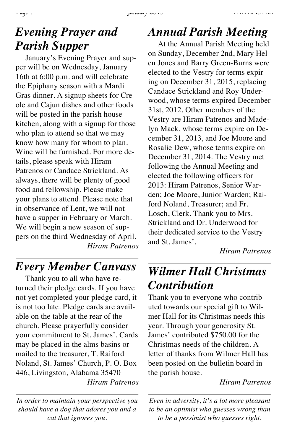## *Evening Prayer and Parish Supper*

January's Evening Prayer and supper will be on Wednesday, January 16th at 6:00 p.m. and will celebrate the Epiphany season with a Mardi Gras dinner. A signup sheets for Creole and Cajun dishes and other foods will be posted in the parish house kitchen, along with a signup for those who plan to attend so that we may know how many for whom to plan. Wine will be furnished. For more details, please speak with Hiram Patrenos or Candace Strickland. As always, there will be plenty of good food and fellowship. Please make your plans to attend. Please note that in observance of Lent, we will not have a supper in February or March. We will begin a new season of suppers on the third Wednesday of April. *Hiram Patrenos*

*Every Member Canvass*

Thank you to all who have returned their pledge cards. If you have not yet completed your pledge card, it is not too late. Pledge cards are available on the table at the rear of the church. Please prayerfully consider your commitment to St. James'. Cards may be placed in the alms basins or mailed to the treasurer, T. Raiford Noland, St. James' Church, P. O. Box 446, Livingston, Alabama 35470 *Hiram Patrenos*

*In order to maintain your perspective you should have a dog that adores you and a cat that ignores you.*

#### *Annual Parish Meeting*

At the Annual Parish Meeting held on Sunday, December 2nd, Mary Helen Jones and Barry Green-Burns were elected to the Vestry for terms expiring on December 31, 2015, replacing Candace Strickland and Roy Underwood, whose terms expired December 31st, 2012. Other members of the Vestry are Hiram Patrenos and Madelyn Mack, whose terms expire on December 31, 2013, and Joe Moore and Rosalie Dew, whose terms expire on December 31, 2014. The Vestry met following the Annual Meeting and elected the following officers for 2013: Hiram Patrenos, Senior Warden; Joe Moore, Junior Warden; Raiford Noland, Treasurer; and Fr. Losch, Clerk. Thank you to Mrs. Strickland and Dr. Underwood for their dedicated service to the Vestry and St. James'.

*Hiram Patrenos*

# *Wilmer Hall Christmas Contribution*

Thank you to everyone who contributed towards our special gift to Wilmer Hall for its Christmas needs this year. Through your generosity St. James' contributed \$750.00 for the Christmas needs of the children. A letter of thanks from Wilmer Hall has been posted on the bulletin board in the parish house.

#### *Hiram Patrenos*

*Even in adversity, it's a lot more pleasant to be an optimist who guesses wrong than to be a pessimist who guesses right.*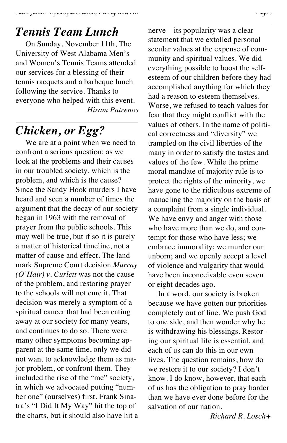#### *Tennis Team Lunch*

On Sunday, November 11th, The University of West Alabama Men's and Women's Tennis Teams attended our services for a blessing of their tennis racquets and a barbeque lunch following the service. Thanks to everyone who helped with this event. *Hiram Patrenos*

# *Chicken, or Egg?*

We are at a point when we need to confront a serious question: as we look at the problems and their causes in our troubled society, which is the problem, and which is the cause? Since the Sandy Hook murders I have heard and seen a number of times the argument that the decay of our society began in 1963 with the removal of prayer from the public schools. This may well be true, but if so it is purely a matter of historical timeline, not a matter of cause and effect. The landmark Supreme Court decision *Murray (O'Hair) v. Curlett* was not the cause of the problem, and restoring prayer to the schools will not cure it. That decision was merely a symptom of a spiritual cancer that had been eating away at our society for many years, and continues to do so. There were many other symptoms becoming apparent at the same time, only we did not want to acknowledge them as major problem, or confront them. They included the rise of the "me" society, in which we advocated putting "number one" (ourselves) first. Frank Sinatra's "I Did It My Way" hit the top of the charts, but it should also have hit a nerve—its popularity was a clear statement that we extolled personal secular values at the expense of community and spiritual values. We did everything possible to boost the selfesteem of our children before they had accomplished anything for which they had a reason to esteem themselves. Worse, we refused to teach values for fear that they might conflict with the values of others. In the name of political correctness and "diversity" we trampled on the civil liberties of the many in order to satisfy the tastes and values of the few. While the prime moral mandate of majority rule is to protect the rights of the minority, we have gone to the ridiculous extreme of manacling the majority on the basis of a complaint from a single individual. We have envy and anger with those who have more than we do, and contempt for those who have less; we embrace immorality; we murder our unborn; and we openly accept a level of violence and vulgarity that would have been inconceivable even seven or eight decades ago.

In a word, our society is broken because we have gotten our priorities completely out of line. We push God to one side, and then wonder why he is withdrawing his blessings. Restoring our spiritual life is essential, and each of us can do this in our own lives. The question remains, how do we restore it to our society? I don't know. I do know, however, that each of us has the obligation to pray harder than we have ever done before for the salvation of our nation.

*Richard R. Losch+*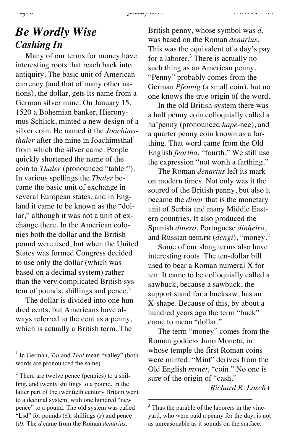#### *Be Wordly Wise Cashing In*

Many of our terms for money have interesting roots that reach back into antiquity. The basic unit of American currency (and that of many other nations), the dollar, gets its name from a German silver mine. On January 15, 1520 a Bohemian banker, Hieronymus Schlick, minted a new design of a silver coin. He named it the *Joachimsthaler* after the mine in Joachimsthal<sup>1</sup> from which the silver came. People quickly shortened the name of the coin to *Thaler* (pronounced "tahler"). In various spellings the *Thaler* became the basic unit of exchange in several European states, and in England it came to be known as the "dollar," although it was not a unit of exchange there. In the American colonies both the dollar and the British pound were used, but when the United States was formed Congress decided to use only the dollar (which was based on a decimal system) rather than the very complicated British system of pounds, shillings and pence. $<sup>2</sup>$ </sup>

The dollar is divided into one hundred cents, but Americans have always referred to the cent as a penny, which is actually a British term. The

British penny, whose symbol was *d*, was based on the Roman *denarius*. This was the equivalent of a day's pay for a laborer. $3$  There is actually no such thing as an American penny. "Penny" probably comes from the German *Pfennig* (a small coin), but no one knows the true origin of the word.

In the old British system there was a half penny coin colloquially called a ha'penny (pronounced *hape-*nee), and a quarter penny coin known as a farthing. That word came from the Old English *fēortha*, "fourth." We still use the expression "not worth a farthing."

The Roman *denarius* left its mark on modern times. Not only was it the soured of the British penny, but also it became the *dinar* that is the monetary unit of Serbia and many Middle Eastern countries. It also produced the Spanish *dinero*, Portuguese *dinheiro*, and Russian деньги (*dengi*), "money."

Some of our slang terms also have interesting roots. The ten-dollar bill used to bear a Roman numeral X for ten. It came to be colloquially called a sawbuck, because a sawbuck, the support stand for a bucksaw, has an X-shape. Because of this, by about a hundred years ago the term "buck" came to mean "dollar."

The term "money" comes from the Roman goddess Juno Moneta, in whose temple the first Roman coins were minted. "Mint" derives from the Old English *mynet*, "coin." No one is sure of the origin of "cash."

*Richard R. Losch+*

 <sup>1</sup> In German, *Tal* and *Thal* mean "valley" (both words are pronounced the same).

 $<sup>2</sup>$  There are twelve pence (pennies) to a shil-</sup> ling, and twenty shillings to a pound. In the latter part of the twentieth century Britain went to a decimal system, with one hundred "new pence" to a pound. The old system was called "Lsd" for pounds (£), shillings (*s*) and pence (*d).* The *d* came from the Roman *denarius*.

<sup>&</sup>lt;sup>3</sup> Thus the parable of the laborers in the vineyard, who were paid a penny for the day, is not as unreasonable as it sounds on the surface.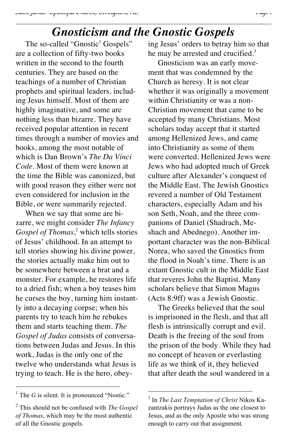# *Gnosticism and the Gnostic Gospels*

The so-called "Gnostic<sup>1</sup> Gospels" are a collection of fifty-two books written in the second to the fourth centuries. They are based on the teachings of a number of Christian prophets and spiritual leaders, including Jesus himself. Most of them are highly imaginative, and some are nothing less than bizarre. They have received popular attention in recent times through a number of movies and books, among the most notable of which is Dan Brown's *The Da Vinci Code*. Most of them were known at the time the Bible was canonized, but with good reason they either were not even considered for inclusion in the Bible, or were summarily rejected.

When we say that some are bizarre, we might consider *The Infancy Gospel of Thomas*, <sup>2</sup> which tells stories of Jesus' childhood. In an attempt to tell stories showing his divine power, the stories actually make him out to be somewhere between a brat and a monster. For example, he restores life to a dried fish; when a boy teases him he curses the boy, turning him instantly into a decaying corpse; when his parents try to teach him he rebukes them and starts teaching them. *The Gospel of Judas* consists of conversations between Judas and Jesus. In this work, Judas is the only one of the twelve who understands what Jesus is trying to teach. He is the hero, obeying Jesus' orders to betray him so that he may be arrested and crucified.<sup>3</sup>

Gnosticism was an early movement that was condemned by the Church as heresy. It is not clear whether it was originally a movement within Christianity or was a non-Christian movement that came to be accepted by many Christians. Most scholars today accept that it started among Hellenized Jews, and came into Christianity as some of them were converted. Hellenized Jews were Jews who had adopted much of Greek culture after Alexander's conquest of the Middle East. The Jewish Gnostics revered a number of Old Testament characters, especially Adam and his son Seth, Noah, and the three companions of Daniel (Shadrach, Meshach and Abednego). Another important character was the non-Biblical Norea, who saved the Gnostics from the flood in Noah's time. There is an extant Gnostic cult in the Middle East that reveres John the Baptist. Many scholars believe that Simon Magus (Acts 8:9ff) was a Jewish Gnostic.

The Greeks believed that the soul is imprisoned in the flesh, and that all flesh is intrinsically corrupt and evil. Death is the freeing of the soul from the prison of the body. While they had no concept of heaven or everlasting life as we think of it, they believed that after death the soul wandered in a

<sup>&</sup>lt;sup>1</sup> The *G* is silent. It is pronounced "Nostic."

<sup>2</sup> This should not be confused with *The Gospel of Thomas*, which may be the most authentic of all the Gnostic gospels.

 <sup>3</sup> In *The Last Temptation of Christ* Nikos Kazantzakis portrays Judas as the one closest to Jesus, and as the only Apostle who was strong enough to carry out that assignment.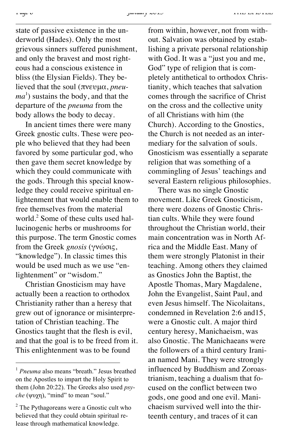*Page 8 January 2013 THE EPISTLE*

state of passive existence in the underworld (Hades). Only the most grievous sinners suffered punishment, and only the bravest and most righteous had a conscious existence in bliss (the Elysian Fields). They believed that the soul (πνευμα, *pneuma*<sup>1</sup>) sustains the body, and that the departure of the *pneuma* from the body allows the body to decay.

In ancient times there were many Greek gnostic cults. These were people who believed that they had been favored by some particular god, who then gave them secret knowledge by which they could communicate with the gods. Through this special knowledge they could receive spiritual enlightenment that would enable them to free themselves from the material world.<sup>2</sup> Some of these cults used hallucinogenic herbs or mushrooms for this purpose. The term Gnostic comes from the Greek *gnosis* (γνώσις, "knowledge"). In classic times this would be used much as we use "enlightenment" or "wisdom."

Christian Gnosticism may have actually been a reaction to orthodox Christianity rather than a heresy that grew out of ignorance or misinterpretation of Christian teaching. The Gnostics taught that the flesh is evil, and that the goal is to be freed from it. This enlightenment was to be found

from within, however, not from without. Salvation was obtained by establishing a private personal relationship with God. It was a "just you and me, God" type of religion that is completely antithetical to orthodox Christianity, which teaches that salvation comes through the sacrifice of Christ on the cross and the collective unity of all Christians with him (the Church). According to the Gnostics, the Church is not needed as an intermediary for the salvation of souls. Gnosticism was essentially a separate religion that was something of a commingling of Jesus' teachings and several Eastern religious philosophies.

There was no single Gnostic movement. Like Greek Gnosticism, there were dozens of Gnostic Christian cults. While they were found throughout the Christian world, their main concentration was in North Africa and the Middle East. Many of them were strongly Platonist in their teaching. Among others they claimed as Gnostics John the Baptist, the Apostle Thomas, Mary Magdalene, John the Evangelist, Saint Paul, and even Jesus himself. The Nicolaitans, condemned in Revelation 2:6 and15, were a Gnostic cult. A major third century heresy, Manichaeism, was also Gnostic. The Manichaeans were the followers of a third century Iranian named Mani. They were strongly influenced by Buddhism and Zoroastrianism, teaching a dualism that focused on the conflict between two gods, one good and one evil. Manichaeism survived well into the thirteenth century, and traces of it can

 <sup>1</sup> *Pneuma* also means "breath." Jesus breathed on the Apostles to impart the Holy Spirit to them (John 20:22). The Greeks also used *psyche* (ψυχη), "mind" to mean "soul."

<sup>2</sup> The Pythagoreans were a Gnostic cult who believed that they could obtain spiritual release through mathematical knowledge.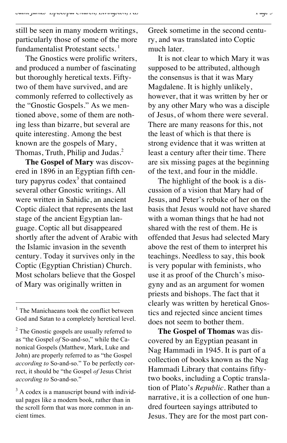still be seen in many modern writings, particularly those of some of the more fundamentalist Protestant sects.<sup>1</sup>

The Gnostics were prolific writers, and produced a number of fascinating but thoroughly heretical texts. Fiftytwo of them have survived, and are commonly referred to collectively as the "Gnostic Gospels." As we mentioned above, some of them are nothing less than bizarre, but several are quite interesting. Among the best known are the gospels of Mary, Thomas, Truth, Philip and Judas.<sup>2</sup>

**The Gospel of Mary** was discovered in 1896 in an Egyptian fifth century papyrus  $\text{codex}^3$  that contained several other Gnostic writings. All were written in Sahidic, an ancient Coptic dialect that represents the last stage of the ancient Egyptian language. Coptic all but disappeared shortly after the advent of Arabic with the Islamic invasion in the seventh century. Today it survives only in the Coptic (Egyptian Christian) Church. Most scholars believe that the Gospel of Mary was originally written in

Greek sometime in the second century, and was translated into Coptic much later.

It is not clear to which Mary it was supposed to be attributed, although the consensus is that it was Mary Magdalene. It is highly unlikely, however, that it was written by her or by any other Mary who was a disciple of Jesus, of whom there were several. There are many reasons for this, not the least of which is that there is strong evidence that it was written at least a century after their time. There are six missing pages at the beginning of the text, and four in the middle.

The highlight of the book is a discussion of a vision that Mary had of Jesus, and Peter's rebuke of her on the basis that Jesus would not have shared with a woman things that he had not shared with the rest of them. He is offended that Jesus had selected Mary above the rest of them to interpret his teachings. Needless to say, this book is very popular with feminists, who use it as proof of the Church's misogyny and as an argument for women priests and bishops. The fact that it clearly was written by heretical Gnostics and rejected since ancient times does not seem to bother them.

**The Gospel of Thomas** was discovered by an Egyptian peasant in Nag Hammadi in 1945. It is part of a collection of books known as the Nag Hammadi Library that contains fiftytwo books, including a Coptic translation of Plato's *Republic*. Rather than a narrative, it is a collection of one hundred fourteen sayings attributed to Jesus. They are for the most part con-

 $<sup>1</sup>$  The Manichaeans took the conflict between</sup> God and Satan to a completely heretical level.

 $2^2$  The Gnostic gospels are usually referred to as "the Gospel *of* So-and-so," while the Canonical Gospels (Matthew, Mark, Luke and John) are properly referred to as "the Gospel *according to* So-and-so." To be perfectly correct, it should be "the Gospel *of* Jesus Christ *according to* So-and-so."

<sup>&</sup>lt;sup>3</sup> A codex is a manuscript bound with individual pages like a modern book, rather than in the scroll form that was more common in ancient times.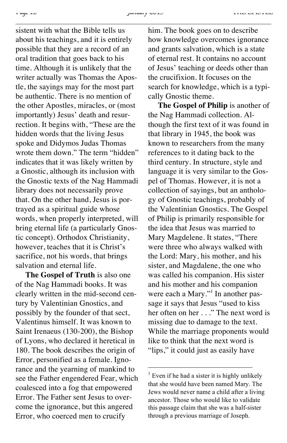sistent with what the Bible tells us about his teachings, and it is entirely possible that they are a record of an oral tradition that goes back to his time. Although it is unlikely that the writer actually was Thomas the Apostle, the sayings may for the most part be authentic. There is no mention of the other Apostles, miracles, or (most importantly) Jesus' death and resurrection. It begins with, "These are the hidden words that the living Jesus spoke and Didymos Judas Thomas wrote them down." The term "hidden" indicates that it was likely written by a Gnostic, although its inclusion with the Gnostic texts of the Nag Hammadi library does not necessarily prove that. On the other hand, Jesus is portrayed as a spiritual guide whose words, when properly interpreted, will bring eternal life (a particularly Gnostic concept). Orthodox Christianity, however, teaches that it is Christ's sacrifice, not his words, that brings salvation and eternal life.

**The Gospel of Truth** is also one of the Nag Hammadi books. It was clearly written in the mid-second century by Valentinian Gnostics, and possibly by the founder of that sect, Valentinus himself. It was known to Saint Irenaeus (130-200), the Bishop of Lyons, who declared it heretical in 180. The book describes the origin of Error, personified as a female. Ignorance and the yearning of mankind to see the Father engendered Fear, which coalesced into a fog that empowered Error. The Father sent Jesus to overcome the ignorance, but this angered Error, who coerced men to crucify

him. The book goes on to describe how knowledge overcomes ignorance and grants salvation, which is a state of eternal rest. It contains no account of Jesus' teaching or deeds other than the crucifixion. It focuses on the search for knowledge, which is a typically Gnostic theme.

**The Gospel of Philip** is another of the Nag Hammadi collection. Although the first text of it was found in that library in 1945, the book was known to researchers from the many references to it dating back to the third century. In structure, style and language it is very similar to the Gospel of Thomas. However, it is not a collection of sayings, but an anthology of Gnostic teachings, probably of the Valentinian Gnostics. The Gospel of Philip is primarily responsible for the idea that Jesus was married to Mary Magdelene. It states, "There were three who always walked with the Lord: Mary, his mother, and his sister, and Magdalene, the one who was called his companion. His sister and his mother and his companion were each a Mary."<sup>1</sup> In another passage it says that Jesus "used to kiss her often on her . . ." The next word is missing due to damage to the text. While the marriage proponents would like to think that the next word is "lips," it could just as easily have

 $<sup>1</sup>$  Even if he had a sister it is highly unlikely</sup> that she would have been named Mary. The Jews would never name a child after a living ancestor. Those who would like to validate this passage claim that she was a half-sister through a previous marriage of Joseph.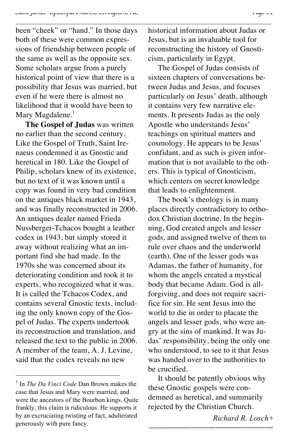been "cheek" or "hand." In those days both of these were common expressions of friendship between people of the same as well as the opposite sex. Some scholars argue from a purely historical point of view that there is a possibility that Jesus was married, but even if he were there is almost no likelihood that it would have been to Mary Magdalene.<sup>1</sup>

**The Gospel of Judas** was written no earlier than the second century. Like the Gospel of Truth, Saint Irenaeus condemned it as Gnostic and heretical in 180. Like the Gospel of Philip, scholars knew of its existence, but no text of it was known until a copy was found in very bad condition on the antiques black market in 1943, and was finally reconstructed in 2006. An antiques dealer named Frieda Nussberger-Tchacos bought a leather codex in 1943, but simply stored it away without realizing what an important find she had made. In the 1970s she was concerned about its deteriorating condition and took it to experts, who recognized what it was. It is called the Tchacos Codex, and contains several Gnostic texts, including the only known copy of the Gospel of Judas. The experts undertook its reconstruction and translation, and released the text to the public in 2006. A member of the team, A. J. Levine, said that the codex reveals no new

historical information about Judas or Jesus, but is an invaluable tool for reconstructing the history of Gnosticism, particularly in Egypt.

The Gospel of Judas consists of sixteen chapters of conversations between Judas and Jesus, and focuses particularly on Jesus' death, although it contains very few narrative elements. It presents Judas as the only Apostle who understands Jesus' teachings on spiritual matters and cosmology. He appears to be Jesus' confidant, and as such is given information that is not available to the others. This is typical of Gnosticism, which centers on secret knowledge that leads to enlightenment.

The book's theology is in many places directly contradictory to orthodox Christian doctrine. In the beginning, God created angels and lesser gods, and assigned twelve of them to rule over chaos and the underworld (earth). One of the lesser gods was Adamas, the father of humanity, for whom the angels created a mystical body that became Adam. God is allforgiving, and does not require sacrifice for sin. He sent Jesus into the world to die in order to placate the angels and lesser gods, who were angry at the sins of mankind. It was Judas' responsibility, being the only one who understood, to see to it that Jesus was handed over to the authorities to be crucified.

It should be patently obvious why these Gnostic gospels were condemned as heretical, and summarily rejected by the Christian Church.

 <sup>1</sup> In *The Da Vinci Code* Dan Brown makes the case that Jesus and Mary were married, and were the ancestors of the Bourbon kings. Quite frankly, this claim is ridiculous. He supports it by an excruciating twisting of fact, adulterated generously with pure fancy.